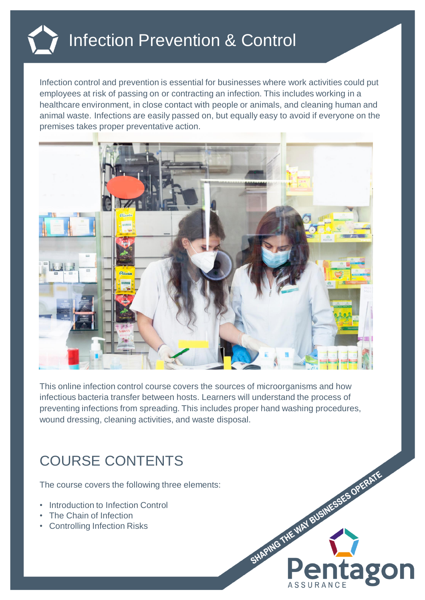

Infection control and prevention is essential for businesses where work activities could put employees at risk of passing on or contracting an infection. This includes working in a healthcare environment, in close contact with people or animals, and cleaning human and animal waste. Infections are easily passed on, but equally easy to avoid if everyone on the premises takes proper preventative action.



This online infection control course covers the sources of microorganisms and how infectious bacteria transfer between hosts. Learners will understand the process of preventing infections from spreading. This includes proper hand washing procedures, wound dressing, cleaning activities, and waste disposal.

## COURSE CONTENTS

The course covers the following three elements:

- Introduction to Infection Control
- The Chain of Infection
- **Controlling Infection Risks**